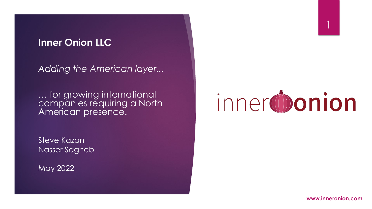#### **Inner Onion LLC**

*Adding the American layer...* 

… for growing international companies requiring a North American presence.

Steve Kazan Nasser Sagheb

May 2022



**www.inneronion.com**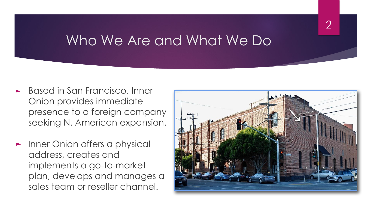### Who We Are and What We Do

- ► Based in San Francisco, Inner Onion provides immediate presence to a foreign company seeking N. American expansion.
- ► Inner Onion offers a physical address, creates and implements a go-to-market plan, develops and manages a sales team or reseller channel.

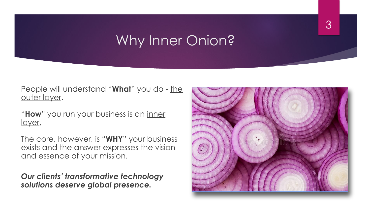## Why Inner Onion?

People will understand "What" you do - the outer layer.

"**How**" you run your business is an inner layer,

The core, however, is "**WHY**" your business exists and the answer expresses the vision and essence of your mission.

*Our clients' transformative technology solutions deserve global presence.*

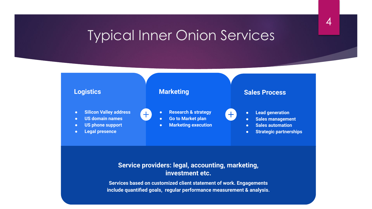### Typical Inner Onion Services

4



#### **Service providers: legal, accounting, marketing, investment etc.**

**Services based on customized client statement of work. Engagements include quantified goals, regular performance measurement & analysis.**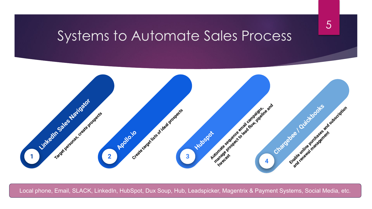#### Systems to Automate Sales Process

5



Local phone, Email, SLACK, LinkedIn, HubSpot, Dux Soup, Hub, Leadspicker, Magentrix & Payment Systems, Social Media, etc.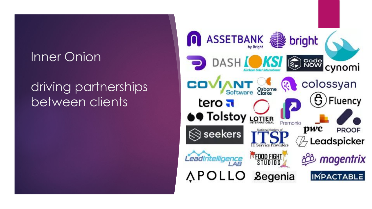#### Inner Onion

## driving partnerships between clients

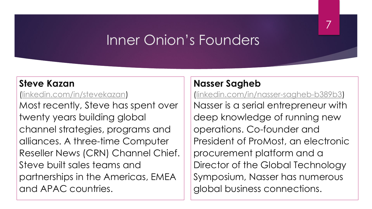# Inner Onion's Founders

#### **Steve Kazan**

#### [\(linkedin.com/in/stevekazan\)](https://www.linkedin.com/in/stevekazan)

Most recently, Steve has spent over twenty years building global channel strategies, programs and alliances. A three-time Computer Reseller News (CRN) Channel Chief. Steve built sales teams and partnerships in the Americas, EMEA and APAC countries.

#### **Nasser Sagheb**

([linkedin.com/in/nasser-sagheb-b389b3\)](https://www.linkedin.com/in/nasser-sagheb-b389b3) Nasser is a serial entrepreneur with deep knowledge of running new operations. Co-founder and President of ProMost, an electronic procurement platform and a Director of the Global Technology Symposium, Nasser has numerous global business connections.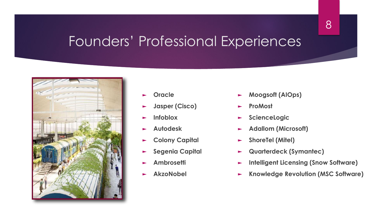### Founders' Professional Experiences



- ► **Oracle**
- ► **Jasper (Cisco)**
- ► **Infoblox**
- ► **Autodesk**
- ► **Colony Capital**
- ► **Segenia Capital**
- ► **Ambrosetti**
- ► **AkzoNobel**
- ► **Moogsoft (AIOps)**
- ► **ProMost**
- ► **ScienceLogic**
- ► **Adallom (Microsoft)**
- ► **ShoreTel (Mitel)**
- ► **Quarterdeck (Symantec)**
- ► **Intelligent Licensing (Snow Software)**
- ► **Knowledge Revolution (MSC Software)**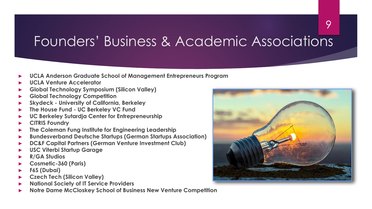# Founders' Business & Academic Associations

- **► UCLA Anderson Graduate School of Management Entrepreneurs Program**
- **► UCLA Venture Accelerator**
- **► Global Technology Symposium (Silicon Valley)**
- **► Global Technology Competition**
- **► Skydeck University of California, Berkeley**
- **► The House Fund UC Berkeley VC Fund**
- **► UC Berkeley Sutardja Center for Entrepreneurship**
- **► CITRIS Foundry**
- **► The Coleman Fung Institute for Engineering Leadership**
- **► Bundesverband Deutsche Startups (German Startups Association)**
- **► DC&F Capital Partners (German Venture Investment Club)**
- **► USC Viterbi Startup Garage**
- **► R/GA Studios**
- **► Cosmetic-360 (Paris)**
- **► F6S (Dubai)**
- **► Czech Tech (Silicon Valley)**
- **► National Society of IT Service Providers**
- **► Notre Dame McCloskey School of Business New Venture Competition**